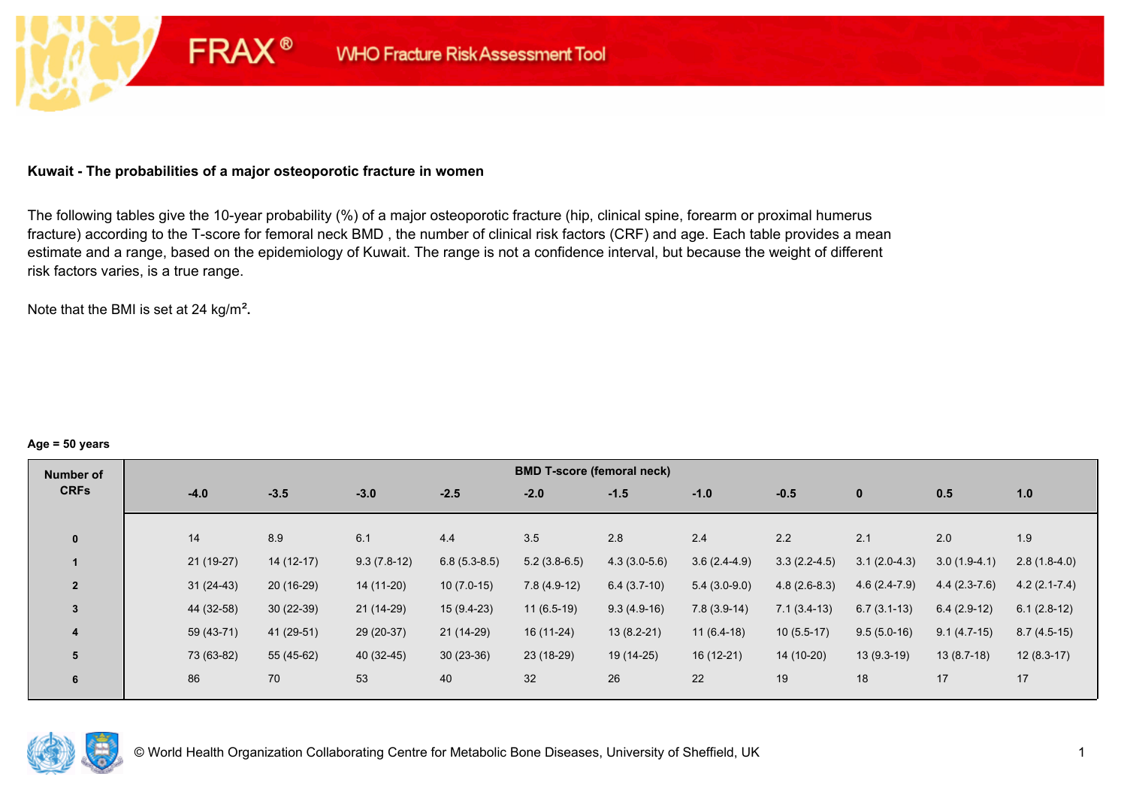### **Kuwait - The probabilities of a major osteoporotic fracture in women**

**FRAX®** 

The following tables give the 10-year probability (%) of a major osteoporotic fracture (hip, clinical spine, forearm or proximal humerus fracture) according to the T-score for femoral neck BMD , the number of clinical risk factors (CRF) and age. Each table provides a mean estimate and a range, based on the epidemiology of Kuwait. The range is not a confidence interval, but because the weight of different risk factors varies, is a true range.

Note that the BMI is set at 24 kg/m²**.** 

#### **Age = 50 years**

| Number of      |             |             |               |                | <b>BMD T-score (femoral neck)</b> |                |                |                |                |                |                |
|----------------|-------------|-------------|---------------|----------------|-----------------------------------|----------------|----------------|----------------|----------------|----------------|----------------|
| <b>CRFs</b>    | $-4.0$      | $-3.5$      | $-3.0$        | $-2.5$         | $-2.0$                            | $-1.5$         | $-1.0$         | $-0.5$         | $\bf{0}$       | 0.5            | 1.0            |
|                |             |             |               |                |                                   |                |                |                |                |                |                |
| $\mathbf{0}$   | 14          | 8.9         | 6.1           | 4.4            | 3.5                               | 2.8            | 2.4            | 2.2            | 2.1            | 2.0            | 1.9            |
|                | 21 (19-27)  | $14(12-17)$ | $9.3(7.8-12)$ | $6.8(5.3-8.5)$ | $5.2(3.8-6.5)$                    | $4.3(3.0-5.6)$ | $3.6(2.4-4.9)$ | $3.3(2.2-4.5)$ | $3.1(2.0-4.3)$ | $3.0(1.9-4.1)$ | $2.8(1.8-4.0)$ |
| $\overline{2}$ | $31(24-43)$ | $20(16-29)$ | 14 (11-20)    | $10(7.0-15)$   | $7.8(4.9-12)$                     | $6.4(3.7-10)$  | $5.4(3.0-9.0)$ | $4.8(2.6-8.3)$ | $4.6(2.4-7.9)$ | $4.4(2.3-7.6)$ | $4.2(2.1-7.4)$ |
| $\overline{3}$ | 44 (32-58)  | $30(22-39)$ | $21(14-29)$   | $15(9.4-23)$   | $11(6.5-19)$                      | $9.3(4.9-16)$  | $7.8(3.9-14)$  | $7.1(3.4-13)$  | $6.7(3.1-13)$  | $6.4(2.9-12)$  | $6.1(2.8-12)$  |
| 4              | 59 (43-71)  | 41 (29-51)  | 29 (20-37)    | 21 (14-29)     | $16(11-24)$                       | $13(8.2-21)$   | $11(6.4-18)$   | $10(5.5-17)$   | $9.5(5.0-16)$  | $9.1(4.7-15)$  | $8.7(4.5-15)$  |
| 5              | 73 (63-82)  | 55 (45-62)  | 40 (32-45)    | $30(23-36)$    | 23 (18-29)                        | 19 (14-25)     | $16(12-21)$    | 14 (10-20)     | $13(9.3-19)$   | $13(8.7-18)$   | $12(8.3-17)$   |
| 6              | 86          | 70          | 53            | 40             | 32                                | 26             | 22             | 19             | 18             | 17             | 17             |

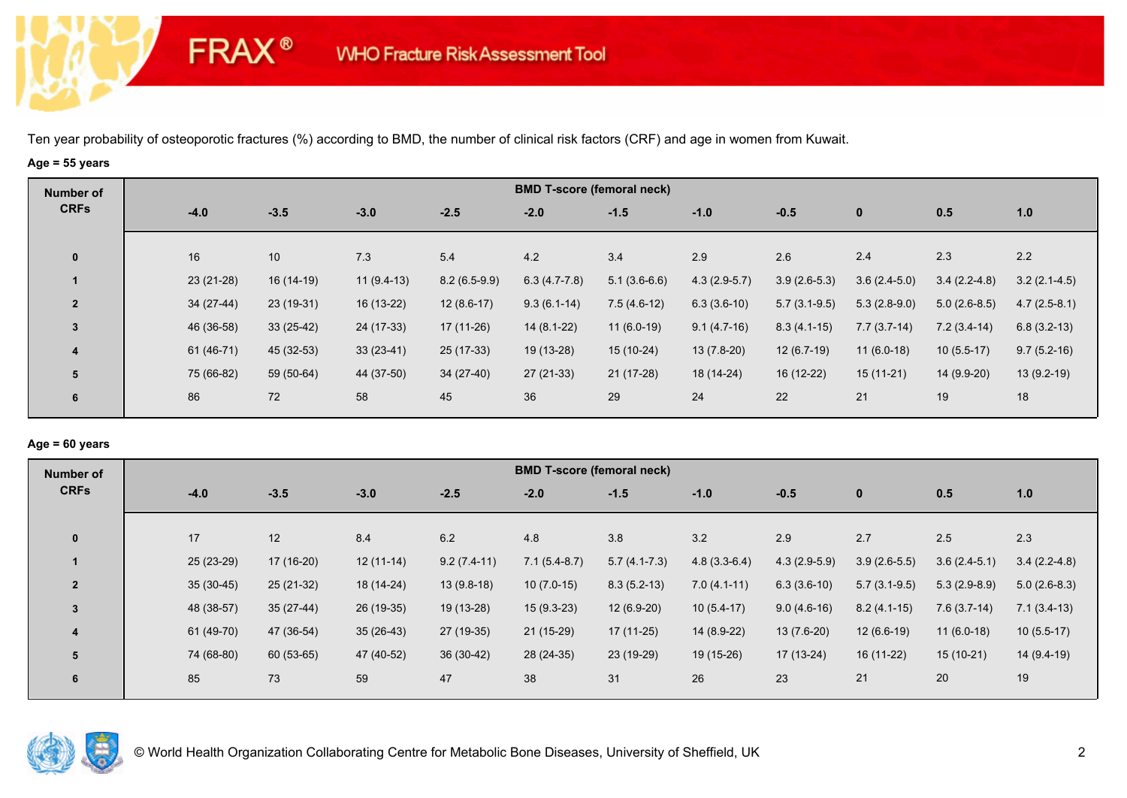# **Age = 55 years**

**FRAX®** 

| Number of      |             |             |              |                |                | <b>BMD T-score (femoral neck)</b> |                |                |                |                |                |
|----------------|-------------|-------------|--------------|----------------|----------------|-----------------------------------|----------------|----------------|----------------|----------------|----------------|
| <b>CRFs</b>    | $-4.0$      | $-3.5$      | $-3.0$       | $-2.5$         | $-2.0$         | $-1.5$                            | $-1.0$         | $-0.5$         | $\bf{0}$       | 0.5            | 1.0            |
| $\mathbf 0$    | 16          | 10          | 7.3          | 5.4            | 4.2            | 3.4                               | 2.9            | 2.6            | 2.4            | 2.3            | 2.2            |
|                | $23(21-28)$ | $16(14-19)$ | $11(9.4-13)$ | $8.2(6.5-9.9)$ | $6.3(4.7-7.8)$ | $5.1(3.6-6.6)$                    | $4.3(2.9-5.7)$ | $3.9(2.6-5.3)$ | $3.6(2.4-5.0)$ | $3.4(2.2-4.8)$ | $3.2(2.1-4.5)$ |
| $\overline{2}$ | $34(27-44)$ | 23 (19-31)  | 16 (13-22)   | $12(8.6-17)$   | $9.3(6.1-14)$  | $7.5(4.6-12)$                     | $6.3(3.6-10)$  | $5.7(3.1-9.5)$ | $5.3(2.8-9.0)$ | $5.0(2.6-8.5)$ | $4.7(2.5-8.1)$ |
| $\overline{3}$ | 46 (36-58)  | $33(25-42)$ | 24 (17-33)   | $17(11-26)$    | $14(8.1-22)$   | $11(6.0-19)$                      | $9.1(4.7-16)$  | $8.3(4.1-15)$  | $7.7(3.7-14)$  | $7.2(3.4-14)$  | $6.8(3.2-13)$  |
| 4              | 61 (46-71)  | 45 (32-53)  | $33(23-41)$  | 25 (17-33)     | 19 (13-28)     | $15(10-24)$                       | $13(7.8-20)$   | $12(6.7-19)$   | $11(6.0-18)$   | $10(5.5-17)$   | $9.7(5.2-16)$  |
| 5              | 75 (66-82)  | 59 (50-64)  | 44 (37-50)   | $34(27-40)$    | $27(21-33)$    | $21(17-28)$                       | 18 (14-24)     | 16 (12-22)     | $15(11-21)$    | 14 (9.9-20)    | $13(9.2-19)$   |
| 6              | 86          | 72          | 58           | 45             | 36             | 29                                | 24             | 22             | 21             | 19             | 18             |

### **Age = 60 years**

| Number of      |             |             |             |               | <b>BMD T-score (femoral neck)</b> |                |                |                |                |                |                |
|----------------|-------------|-------------|-------------|---------------|-----------------------------------|----------------|----------------|----------------|----------------|----------------|----------------|
| <b>CRFs</b>    | $-4.0$      | $-3.5$      | $-3.0$      | $-2.5$        | $-2.0$                            | $-1.5$         | $-1.0$         | $-0.5$         | $\mathbf{0}$   | 0.5            | 1.0            |
| $\mathbf{0}$   | 17          | 12          | 8.4         | 6.2           | 4.8                               | 3.8            | 3.2            | 2.9            | 2.7            | 2.5            | 2.3            |
|                | 25 (23-29)  | $17(16-20)$ | $12(11-14)$ | $9.2(7.4-11)$ | $7.1(5.4-8.7)$                    | $5.7(4.1-7.3)$ | $4.8(3.3-6.4)$ | $4.3(2.9-5.9)$ | $3.9(2.6-5.5)$ | $3.6(2.4-5.1)$ | $3.4(2.2-4.8)$ |
| $\overline{2}$ | $35(30-45)$ | $25(21-32)$ | 18 (14-24)  | $13(9.8-18)$  | $10(7.0-15)$                      | $8.3(5.2-13)$  | $7.0(4.1-11)$  | $6.3(3.6-10)$  | $5.7(3.1-9.5)$ | $5.3(2.9-8.9)$ | $5.0(2.6-8.3)$ |
| 3              | 48 (38-57)  | $35(27-44)$ | 26 (19-35)  | 19 (13-28)    | $15(9.3-23)$                      | $12(6.9-20)$   | $10(5.4-17)$   | $9.0(4.6-16)$  | $8.2(4.1-15)$  | $7.6(3.7-14)$  | $7.1(3.4-13)$  |
| $\overline{4}$ | 61 (49-70)  | 47 (36-54)  | $35(26-43)$ | 27 (19-35)    | $21(15-29)$                       | $17(11-25)$    | 14 (8.9-22)    | $13(7.6-20)$   | $12(6.6-19)$   | $11(6.0-18)$   | $10(5.5-17)$   |
| 5              | 74 (68-80)  | 60 (53-65)  | 47 (40-52)  | $36(30-42)$   | 28 (24-35)                        | 23 (19-29)     | 19 (15-26)     | 17 (13-24)     | $16(11-22)$    | $15(10-21)$    | 14 (9.4-19)    |
| 6              | 85          | 73          | 59          | 47            | 38                                | 31             | 26             | 23             | 21             | 20             | 19             |

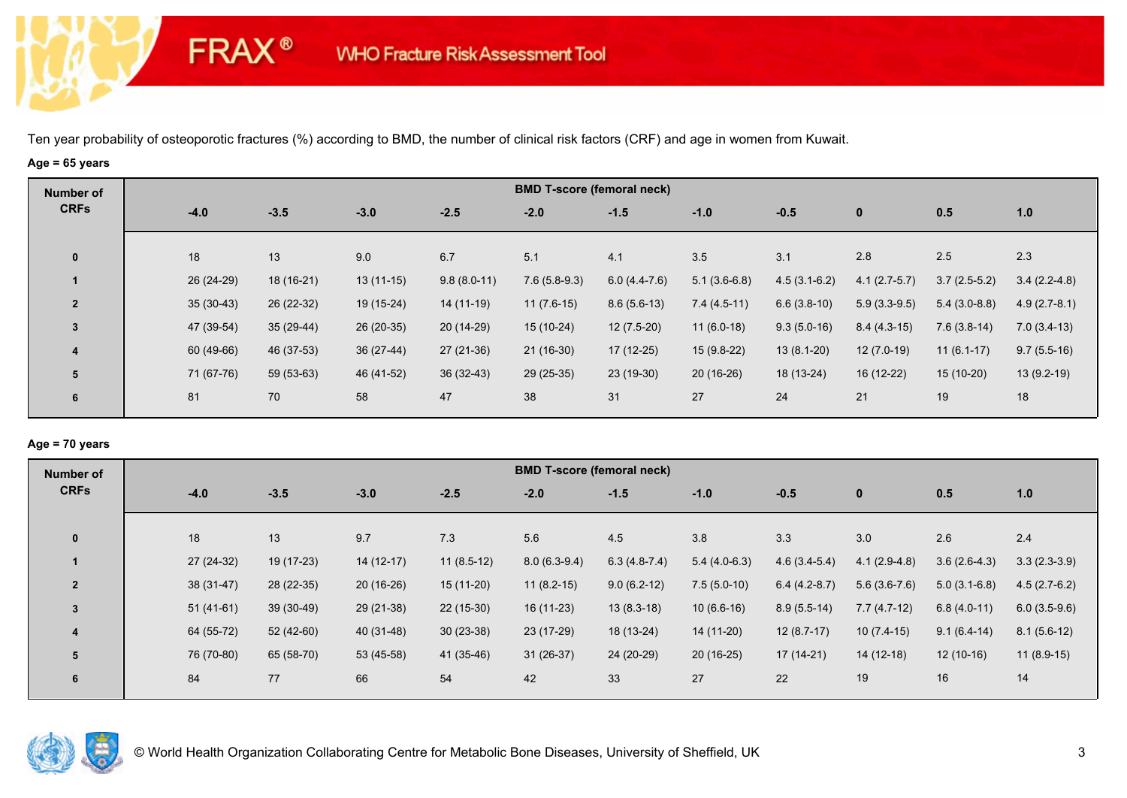# **Age = 65 years**

**FRAX®** 

| Number of               |             |             |             |               | <b>BMD T-score (femoral neck)</b> |                |                |                |                |                |                |
|-------------------------|-------------|-------------|-------------|---------------|-----------------------------------|----------------|----------------|----------------|----------------|----------------|----------------|
| <b>CRFs</b>             | $-4.0$      | $-3.5$      | $-3.0$      | $-2.5$        | $-2.0$                            | $-1.5$         | $-1.0$         | $-0.5$         | $\mathbf{0}$   | 0.5            | 1.0            |
| $\bf{0}$                | 18          | 13          | 9.0         | 6.7           | 5.1                               | 4.1            | 3.5            | 3.1            | 2.8            | 2.5            | 2.3            |
|                         | 26 (24-29)  | 18 (16-21)  | $13(11-15)$ | $9.8(8.0-11)$ | $7.6(5.8-9.3)$                    | $6.0(4.4-7.6)$ | $5.1(3.6-6.8)$ | $4.5(3.1-6.2)$ | $4.1(2.7-5.7)$ | $3.7(2.5-5.2)$ | $3.4(2.2-4.8)$ |
| $\overline{2}$          | $35(30-43)$ | 26 (22-32)  | 19 (15-24)  | 14 (11-19)    | $11(7.6-15)$                      | $8.6(5.6-13)$  | $7.4(4.5-11)$  | $6.6(3.8-10)$  | $5.9(3.3-9.5)$ | $5.4(3.0-8.8)$ | $4.9(2.7-8.1)$ |
| $\mathbf{3}$            | 47 (39-54)  | $35(29-44)$ | 26 (20-35)  | 20 (14-29)    | 15 (10-24)                        | $12(7.5-20)$   | $11(6.0-18)$   | $9.3(5.0-16)$  | $8.4(4.3-15)$  | $7.6(3.8-14)$  | $7.0(3.4-13)$  |
| $\overline{\mathbf{4}}$ | 60 (49-66)  | 46 (37-53)  | $36(27-44)$ | 27 (21-36)    | $21(16-30)$                       | $17(12-25)$    | $15(9.8-22)$   | $13(8.1-20)$   | $12(7.0-19)$   | $11(6.1-17)$   | $9.7(5.5-16)$  |
| 5                       | 71 (67-76)  | 59 (53-63)  | 46 (41-52)  | $36(32-43)$   | $29(25-35)$                       | $23(19-30)$    | $20(16-26)$    | 18 (13-24)     | $16(12-22)$    | $15(10-20)$    | $13(9.2-19)$   |
| 6                       | 81          | 70          | 58          | 47            | 38                                | 31             | 27             | 24             | 21             | 19             | 18             |

### **Age = 70 years**

| Number of      |             |             |             |              | <b>BMD T-score (femoral neck)</b> |                |                |                |                |                |                |
|----------------|-------------|-------------|-------------|--------------|-----------------------------------|----------------|----------------|----------------|----------------|----------------|----------------|
| <b>CRFs</b>    | $-4.0$      | $-3.5$      | $-3.0$      | $-2.5$       | $-2.0$                            | $-1.5$         | $-1.0$         | $-0.5$         | $\mathbf 0$    | 0.5            | 1.0            |
| $\mathbf{0}$   | 18          | 13          | 9.7         | 7.3          | 5.6                               | 4.5            | 3.8            | 3.3            | 3.0            | 2.6            | 2.4            |
|                |             |             |             |              |                                   |                |                |                |                |                |                |
|                | 27 (24-32)  | 19 (17-23)  | $14(12-17)$ | $11(8.5-12)$ | $8.0(6.3-9.4)$                    | $6.3(4.8-7.4)$ | $5.4(4.0-6.3)$ | $4.6(3.4-5.4)$ | $4.1(2.9-4.8)$ | $3.6(2.6-4.3)$ | $3.3(2.3-3.9)$ |
| $\overline{2}$ | $38(31-47)$ | 28 (22-35)  | $20(16-26)$ | $15(11-20)$  | $11(8.2-15)$                      | $9.0(6.2-12)$  | $7.5(5.0-10)$  | $6.4(4.2-8.7)$ | $5.6(3.6-7.6)$ | $5.0(3.1-6.8)$ | $4.5(2.7-6.2)$ |
| $\overline{3}$ | $51(41-61)$ | $39(30-49)$ | 29 (21-38)  | $22(15-30)$  | $16(11-23)$                       | $13(8.3-18)$   | $10(6.6-16)$   | $8.9(5.5-14)$  | $7.7(4.7-12)$  | $6.8(4.0-11)$  | $6.0(3.5-9.6)$ |
| 4              | 64 (55-72)  | $52(42-60)$ | 40 (31-48)  | $30(23-38)$  | $23(17-29)$                       | 18 (13-24)     | 14 (11-20)     | $12(8.7-17)$   | $10(7.4-15)$   | $9.1(6.4-14)$  | $8.1(5.6-12)$  |
| 5              | 76 (70-80)  | 65 (58-70)  | 53 (45-58)  | 41 (35-46)   | $31(26-37)$                       | 24 (20-29)     | $20(16-25)$    | $17(14-21)$    | $14(12-18)$    | $12(10-16)$    | $11(8.9-15)$   |
| 6              | 84          | 77          | 66          | 54           | 42                                | 33             | 27             | 22             | 19             | 16             | 14             |

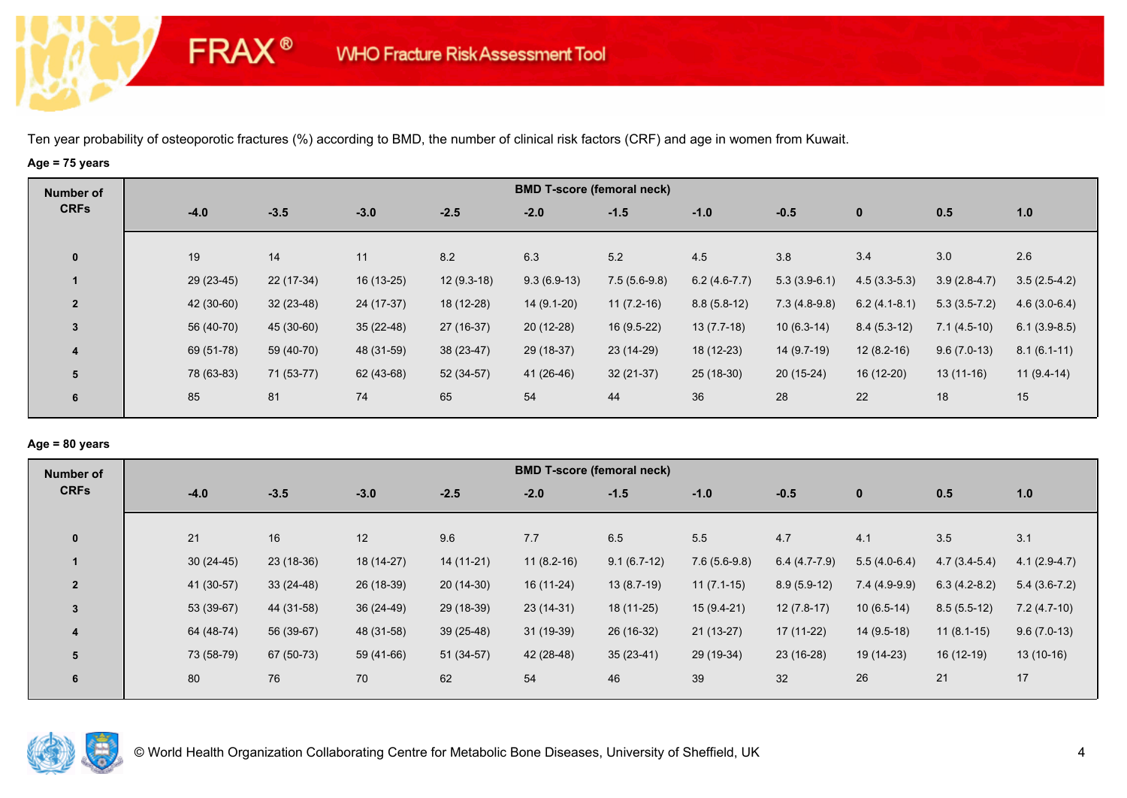# **Age = 75 years**

**FRAX®** 

| Number of               |            |             |             |              |               | <b>BMD T-score (femoral neck)</b> |                |                |                |                |                |
|-------------------------|------------|-------------|-------------|--------------|---------------|-----------------------------------|----------------|----------------|----------------|----------------|----------------|
| <b>CRFs</b>             | $-4.0$     | $-3.5$      | $-3.0$      | $-2.5$       | $-2.0$        | $-1.5$                            | $-1.0$         | $-0.5$         | $\mathbf{0}$   | 0.5            | 1.0            |
| $\mathbf 0$             | 19         | 14          | 11          | 8.2          | 6.3           | 5.2                               | 4.5            | 3.8            | 3.4            | 3.0            | 2.6            |
|                         | 29 (23-45) | 22 (17-34)  | 16 (13-25)  | $12(9.3-18)$ | $9.3(6.9-13)$ | $7.5(5.6-9.8)$                    | $6.2(4.6-7.7)$ | $5.3(3.9-6.1)$ | $4.5(3.3-5.3)$ | $3.9(2.8-4.7)$ | $3.5(2.5-4.2)$ |
| $\overline{2}$          | 42 (30-60) | $32(23-48)$ | 24 (17-37)  | 18 (12-28)   | $14(9.1-20)$  | $11(7.2-16)$                      | $8.8(5.8-12)$  | $7.3(4.8-9.8)$ | $6.2(4.1-8.1)$ | $5.3(3.5-7.2)$ | $4.6(3.0-6.4)$ |
| $\mathbf{3}$            | 56 (40-70) | 45 (30-60)  | $35(22-48)$ | 27 (16-37)   | $20(12-28)$   | $16(9.5-22)$                      | $13(7.7-18)$   | $10(6.3-14)$   | $8.4(5.3-12)$  | $7.1(4.5-10)$  | $6.1(3.9-8.5)$ |
| $\overline{\mathbf{4}}$ | 69 (51-78) | 59 (40-70)  | 48 (31-59)  | $38(23-47)$  | 29 (18-37)    | 23 (14-29)                        | 18 (12-23)     | 14 (9.7-19)    | $12(8.2-16)$   | $9.6(7.0-13)$  | $8.1(6.1-11)$  |
| 5                       | 78 (63-83) | 71 (53-77)  | 62 (43-68)  | 52 (34-57)   | 41 (26-46)    | $32(21-37)$                       | $25(18-30)$    | $20(15-24)$    | $16(12-20)$    | $13(11-16)$    | $11(9.4-14)$   |
| 6                       | 85         | 81          | 74          | 65           | 54            | 44                                | 36             | 28             | 22             | 18             | 15             |

### **Age = 80 years**

| Number of               |             |             |             |             |              | <b>BMD T-score (femoral neck)</b> |                |                |                |                |                |
|-------------------------|-------------|-------------|-------------|-------------|--------------|-----------------------------------|----------------|----------------|----------------|----------------|----------------|
| <b>CRFs</b>             | $-4.0$      | $-3.5$      | $-3.0$      | $-2.5$      | $-2.0$       | $-1.5$                            | $-1.0$         | $-0.5$         | $\mathbf{0}$   | 0.5            | 1.0            |
|                         |             |             |             |             |              |                                   |                |                |                |                |                |
| $\mathbf{0}$            | 21          | 16          | 12          | 9.6         | 7.7          | 6.5                               | 5.5            | 4.7            | 4.1            | 3.5            | 3.1            |
|                         | $30(24-45)$ | $23(18-36)$ | 18 (14-27)  | $14(11-21)$ | $11(8.2-16)$ | $9.1(6.7-12)$                     | $7.6(5.6-9.8)$ | $6.4(4.7-7.9)$ | $5.5(4.0-6.4)$ | $4.7(3.4-5.4)$ | $4.1(2.9-4.7)$ |
| $\overline{2}$          | 41 (30-57)  | $33(24-48)$ | 26 (18-39)  | $20(14-30)$ | 16 (11-24)   | $13(8.7-19)$                      | $11(7.1-15)$   | $8.9(5.9-12)$  | $7.4(4.9-9.9)$ | $6.3(4.2-8.2)$ | $5.4(3.6-7.2)$ |
| 3                       | 53 (39-67)  | 44 (31-58)  | $36(24-49)$ | 29 (18-39)  | $23(14-31)$  | 18 (11-25)                        | $15(9.4-21)$   | $12(7.8-17)$   | $10(6.5-14)$   | $8.5(5.5-12)$  | $7.2(4.7-10)$  |
| $\overline{\mathbf{4}}$ | 64 (48-74)  | 56 (39-67)  | 48 (31-58)  | $39(25-48)$ | $31(19-39)$  | 26 (16-32)                        | $21(13-27)$    | $17(11-22)$    | $14(9.5-18)$   | $11(8.1-15)$   | $9.6(7.0-13)$  |
| 5                       | 73 (58-79)  | 67 (50-73)  | 59 (41-66)  | $51(34-57)$ | 42 (28-48)   | $35(23-41)$                       | 29 (19-34)     | 23 (16-28)     | 19 (14-23)     | $16(12-19)$    | $13(10-16)$    |
| 6                       | 80          | 76          | 70          | 62          | 54           | 46                                | 39             | 32             | 26             | 21             | 17             |
|                         |             |             |             |             |              |                                   |                |                |                |                |                |